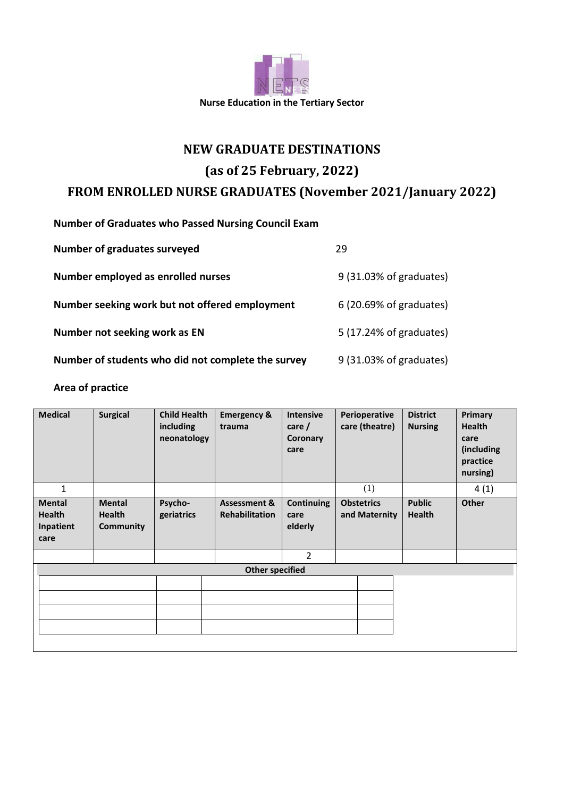

### **NEW GRADUATE DESTINATIONS**

## **(as of 25 February, 2022)**

# **FROM ENROLLED NURSE GRADUATES (November 2021/January 2022)**

**Number of Graduates who Passed Nursing Council Exam**

| Number of graduates surveyed                       | 29                      |
|----------------------------------------------------|-------------------------|
| Number employed as enrolled nurses                 | 9 (31.03% of graduates) |
| Number seeking work but not offered employment     | 6 (20.69% of graduates) |
| Number not seeking work as EN                      | 5 (17.24% of graduates) |
| Number of students who did not complete the survey | 9 (31.03% of graduates) |

#### **Area of practice**

| <b>Medical</b>                                      | <b>Surgical</b>                                    | <b>Child Health</b><br>including<br>neonatology | <b>Emergency &amp;</b><br>trauma      | <b>Intensive</b><br>care /<br>Coronary<br>care | Perioperative<br>care (theatre)    | <b>District</b><br><b>Nursing</b> | Primary<br><b>Health</b><br>care<br>(including<br>practice<br>nursing) |  |
|-----------------------------------------------------|----------------------------------------------------|-------------------------------------------------|---------------------------------------|------------------------------------------------|------------------------------------|-----------------------------------|------------------------------------------------------------------------|--|
| 1                                                   |                                                    |                                                 |                                       |                                                | (1)                                |                                   | 4(1)                                                                   |  |
| <b>Mental</b><br><b>Health</b><br>Inpatient<br>care | <b>Mental</b><br><b>Health</b><br><b>Community</b> | Psycho-<br>geriatrics                           | Assessment &<br><b>Rehabilitation</b> | <b>Continuing</b><br>care<br>elderly           | <b>Obstetrics</b><br>and Maternity | <b>Public</b><br><b>Health</b>    | <b>Other</b>                                                           |  |
|                                                     |                                                    |                                                 |                                       | 2                                              |                                    |                                   |                                                                        |  |
| <b>Other specified</b>                              |                                                    |                                                 |                                       |                                                |                                    |                                   |                                                                        |  |
|                                                     |                                                    |                                                 |                                       |                                                |                                    |                                   |                                                                        |  |